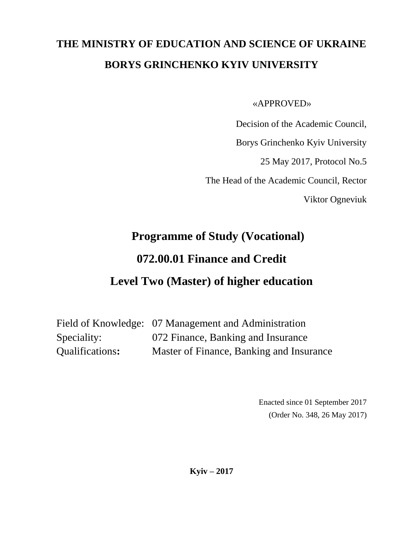# **THE MINISTRY OF EDUCATION AND SCIENCE OF UKRAINE BORYS GRINCHENKO KYIV UNIVERSITY**

«APPROVED»

Decision of the Academic Council,

Borys Grinchenko Kyiv University

25 May 2017, Protocol No.5

The Head of the Academic Council, Rector

Viktor Ogneviuk

# **Programme of Study (Vocational) 072.00.01 Finance and Credit Level Two (Master) of higher education**

Field of Knowledge: 07 Management and Administration Speciality: 072 Finance, Banking and Insurance Qualifications**:** Master of Finance, Banking and Insurance

> Enacted since 01 September 2017 (Order No. 348, 26 May 2017)

**Kyiv – 2017**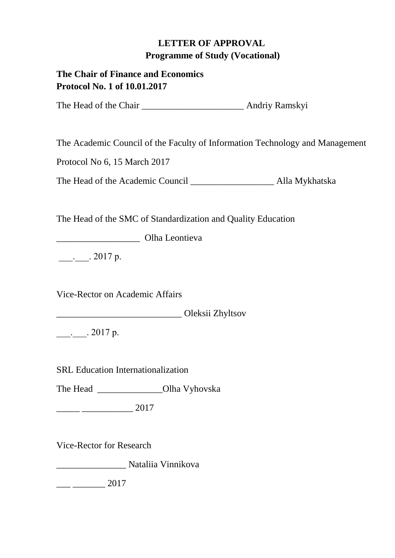# **LETTER OF APPROVAL Programme of Study (Vocational)**

# **The Chair of Finance and Economics Protocol No. 1 of 10.01.2017**

The Head of the Chair \_\_\_\_\_\_\_\_\_\_\_\_\_\_\_\_\_\_\_\_\_\_\_\_\_\_\_\_ Andriy Ramskyi

The Academic Council of the Faculty of Information Technology and Management

Protocol No 6, 15 March 2017

The Head of the Academic Council **Alla Mykhatska** 

The Head of the SMC of Standardization and Quality Education

\_\_\_\_\_\_\_\_\_\_\_\_\_\_\_\_\_\_ Olha Leontieva

 $\therefore$  2017 р.

Vice-Rector on Academic Affairs

\_\_\_\_\_\_\_\_\_\_\_\_\_\_\_\_\_\_\_\_\_\_\_\_\_\_\_ Oleksii Zhyltsov

 $\frac{1}{2}$ . 2017 р.

SRL Education Internationalization

The Head \_\_\_\_\_\_\_\_\_\_\_\_\_\_\_\_\_Olha Vyhovska

 $\frac{1}{2017}$ 

Vice-Rector for Research

\_\_\_\_\_\_\_\_\_\_\_\_\_\_\_ Nataliia Vinnikova

 $\frac{2017}{2017}$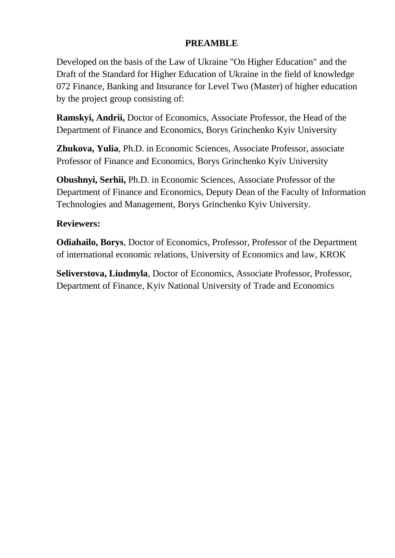# **PREAMBLE**

Developed on the basis of the Law of Ukraine "On Higher Education" and the Draft of the Standard for Higher Education of Ukraine in the field of knowledge 072 Finance, Banking and Insurance for Level Two (Master) of higher education by the project group consisting of:

**Ramskyi, Andrii,** Doctor of Economics, Associate Professor, the Head of the Department of Finance and Economics, Borys Grinchenko Kyiv University

**Zhukova, Yulia**, Ph.D. in Economic Sciences, Associate Professor, associate Professor of Finance and Economics, Borys Grinchenko Kyiv University

**Obushnyi, Serhii,** Ph.D. in Economic Sciences, Associate Professor of the Department of Finance and Economics, Deputy Dean of the Faculty of Information Technologies and Management, Borys Grinchenko Kyiv University.

# **Reviewers:**

**Odiahailo, Borys**, Doctor of Economics, Professor, Professor of the Department of international economic relations, University of Economics and law, KROK

**Seliverstova, Liudmyla**, Doctor of Economics, Associate Professor, Professor, Department of Finance, Kyiv National University of Trade and Economics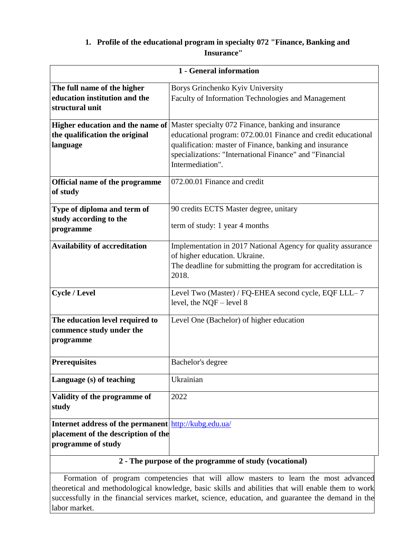#### **1. Profile of the educational program in specialty 072 "Finance, Banking and Insurance"**

| 1 - General information                                                                                                   |                                                                                                                                                                                                                                                                                                        |  |  |
|---------------------------------------------------------------------------------------------------------------------------|--------------------------------------------------------------------------------------------------------------------------------------------------------------------------------------------------------------------------------------------------------------------------------------------------------|--|--|
| The full name of the higher<br>education institution and the<br>structural unit                                           | Borys Grinchenko Kyiv University<br>Faculty of Information Technologies and Management                                                                                                                                                                                                                 |  |  |
| the qualification the original<br>language                                                                                | <b>Higher education and the name of</b> Master specialty 072 Finance, banking and insurance<br>educational program: 072.00.01 Finance and credit educational<br>qualification: master of Finance, banking and insurance<br>specializations: "International Finance" and "Financial<br>Intermediation". |  |  |
| Official name of the programme<br>of study                                                                                | 072.00.01 Finance and credit                                                                                                                                                                                                                                                                           |  |  |
| Type of diploma and term of<br>study according to the<br>programme                                                        | 90 credits ECTS Master degree, unitary<br>term of study: 1 year 4 months                                                                                                                                                                                                                               |  |  |
| <b>Availability of accreditation</b>                                                                                      | Implementation in 2017 National Agency for quality assurance<br>of higher education. Ukraine.<br>The deadline for submitting the program for accreditation is<br>2018.                                                                                                                                 |  |  |
| <b>Cycle / Level</b>                                                                                                      | Level Two (Master) / FQ-EHEA second cycle, EQF LLL-7<br>level, the $NQF$ – level 8                                                                                                                                                                                                                     |  |  |
| The education level required to<br>commence study under the<br>programme                                                  | Level One (Bachelor) of higher education                                                                                                                                                                                                                                                               |  |  |
| <b>Prerequisites</b>                                                                                                      | Bachelor's degree                                                                                                                                                                                                                                                                                      |  |  |
| Language (s) of teaching                                                                                                  | Ukrainian                                                                                                                                                                                                                                                                                              |  |  |
| Validity of the programme of<br>study                                                                                     | 2022                                                                                                                                                                                                                                                                                                   |  |  |
| <b>Internet address of the permanent</b> http://kubg.edu.ua/<br>placement of the description of the<br>programme of study | 2 - The purpose of the programme of study (vocational)                                                                                                                                                                                                                                                 |  |  |

#### **2 - The purpose of the programme of study (vocational)**

 Formation of program competencies that will allow masters to learn the most advanced theoretical and methodological knowledge, basic skills and abilities that will enable them to work successfully in the financial services market, science, education, and guarantee the demand in the labor market.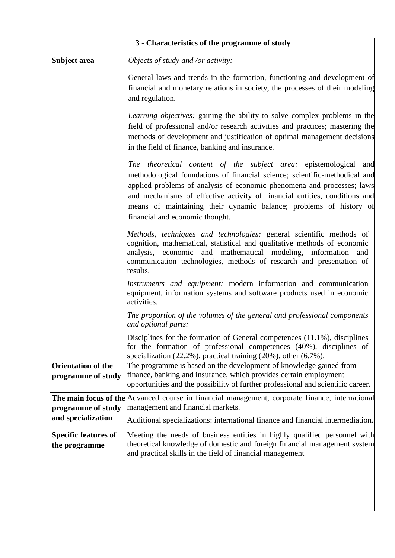| 3 - Characteristics of the programme of study   |                                                                                                                                                                                                                                                                                                                                                                                                                 |  |  |  |
|-------------------------------------------------|-----------------------------------------------------------------------------------------------------------------------------------------------------------------------------------------------------------------------------------------------------------------------------------------------------------------------------------------------------------------------------------------------------------------|--|--|--|
| Subject area                                    | Objects of study and /or activity:                                                                                                                                                                                                                                                                                                                                                                              |  |  |  |
|                                                 | General laws and trends in the formation, functioning and development of<br>financial and monetary relations in society, the processes of their modeling<br>and regulation.                                                                                                                                                                                                                                     |  |  |  |
|                                                 | <i>Learning objectives:</i> gaining the ability to solve complex problems in the<br>field of professional and/or research activities and practices; mastering the<br>methods of development and justification of optimal management decisions<br>in the field of finance, banking and insurance.                                                                                                                |  |  |  |
|                                                 | The theoretical content of the subject area: epistemological and<br>methodological foundations of financial science; scientific-methodical and<br>applied problems of analysis of economic phenomena and processes; laws<br>and mechanisms of effective activity of financial entities, conditions and<br>means of maintaining their dynamic balance; problems of history of<br>financial and economic thought. |  |  |  |
|                                                 | Methods, techniques and technologies: general scientific methods of<br>cognition, mathematical, statistical and qualitative methods of economic<br>analysis, economic and mathematical modeling, information<br>and<br>communication technologies, methods of research and presentation of<br>results.                                                                                                          |  |  |  |
|                                                 | Instruments and equipment: modern information and communication<br>equipment, information systems and software products used in economic<br>activities.                                                                                                                                                                                                                                                         |  |  |  |
|                                                 | The proportion of the volumes of the general and professional components<br>and optional parts:                                                                                                                                                                                                                                                                                                                 |  |  |  |
|                                                 | Disciplines for the formation of General competences (11.1%), disciplines<br>for the formation of professional competences (40%), disciplines of<br>specialization $(22.2\%)$ , practical training $(20\%)$ , other $(6.7\%)$ .                                                                                                                                                                                 |  |  |  |
| <b>Orientation of the</b><br>programme of study | The programme is based on the development of knowledge gained from<br>finance, banking and insurance, which provides certain employment<br>opportunities and the possibility of further professional and scientific career.                                                                                                                                                                                     |  |  |  |
| programme of study                              | The main focus of the Advanced course in financial management, corporate finance, international<br>management and financial markets.                                                                                                                                                                                                                                                                            |  |  |  |
| and specialization                              | Additional specializations: international finance and financial intermediation.                                                                                                                                                                                                                                                                                                                                 |  |  |  |
| <b>Specific features of</b><br>the programme    | Meeting the needs of business entities in highly qualified personnel with<br>theoretical knowledge of domestic and foreign financial management system<br>and practical skills in the field of financial management                                                                                                                                                                                             |  |  |  |
|                                                 |                                                                                                                                                                                                                                                                                                                                                                                                                 |  |  |  |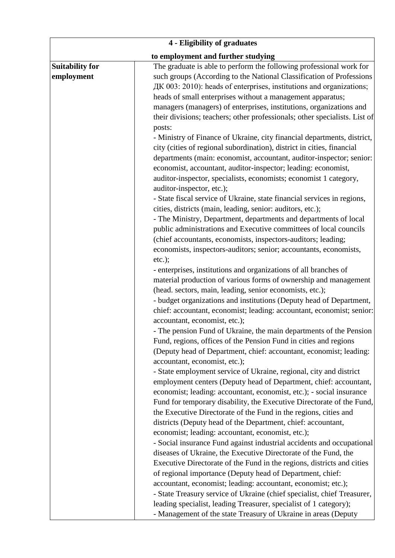| 4 - Eligibility of graduates |                                                                            |  |  |
|------------------------------|----------------------------------------------------------------------------|--|--|
|                              | to employment and further studying                                         |  |  |
| <b>Suitability for</b>       | The graduate is able to perform the following professional work for        |  |  |
| employment                   | such groups (According to the National Classification of Professions       |  |  |
|                              | ДК 003: 2010): heads of enterprises, institutions and organizations;       |  |  |
|                              | heads of small enterprises without a management apparatus;                 |  |  |
|                              | managers (managers) of enterprises, institutions, organizations and        |  |  |
|                              | their divisions; teachers; other professionals; other specialists. List of |  |  |
|                              | posts:                                                                     |  |  |
|                              | - Ministry of Finance of Ukraine, city financial departments, district,    |  |  |
|                              | city (cities of regional subordination), district in cities, financial     |  |  |
|                              | departments (main: economist, accountant, auditor-inspector; senior:       |  |  |
|                              | economist, accountant, auditor-inspector; leading: economist,              |  |  |
|                              | auditor-inspector, specialists, economists; economist 1 category,          |  |  |
|                              | auditor-inspector, etc.);                                                  |  |  |
|                              | - State fiscal service of Ukraine, state financial services in regions,    |  |  |
|                              | cities, districts (main, leading, senior: auditors, etc.);                 |  |  |
|                              | - The Ministry, Department, departments and departments of local           |  |  |
|                              | public administrations and Executive committees of local councils          |  |  |
|                              |                                                                            |  |  |
|                              | (chief accountants, economists, inspectors-auditors; leading;              |  |  |
|                              | economists, inspectors-auditors; senior; accountants, economists,          |  |  |
|                              | $etc.$ );                                                                  |  |  |
|                              | - enterprises, institutions and organizations of all branches of           |  |  |
|                              | material production of various forms of ownership and management           |  |  |
|                              | (head. sectors, main, leading, senior economists, etc.);                   |  |  |
|                              | - budget organizations and institutions (Deputy head of Department,        |  |  |
|                              | chief: accountant, economist; leading: accountant, economist; senior:      |  |  |
|                              | accountant, economist, etc.);                                              |  |  |
|                              | - The pension Fund of Ukraine, the main departments of the Pension         |  |  |
|                              | Fund, regions, offices of the Pension Fund in cities and regions           |  |  |
|                              | (Deputy head of Department, chief: accountant, economist; leading:         |  |  |
|                              | accountant, economist, etc.);                                              |  |  |
|                              | - State employment service of Ukraine, regional, city and district         |  |  |
|                              | employment centers (Deputy head of Department, chief: accountant,          |  |  |
|                              | economist; leading: accountant, economist, etc.); - social insurance       |  |  |
|                              | Fund for temporary disability, the Executive Directorate of the Fund,      |  |  |
|                              | the Executive Directorate of the Fund in the regions, cities and           |  |  |
|                              | districts (Deputy head of the Department, chief: accountant,               |  |  |
|                              | economist; leading: accountant, economist, etc.);                          |  |  |
|                              | - Social insurance Fund against industrial accidents and occupational      |  |  |
|                              | diseases of Ukraine, the Executive Directorate of the Fund, the            |  |  |
|                              | Executive Directorate of the Fund in the regions, districts and cities     |  |  |
|                              | of regional importance (Deputy head of Department, chief:                  |  |  |
|                              | accountant, economist; leading: accountant, economist; etc.);              |  |  |
|                              | - State Treasury service of Ukraine (chief specialist, chief Treasurer,    |  |  |
|                              | leading specialist, leading Treasurer, specialist of 1 category);          |  |  |
|                              | - Management of the state Treasury of Ukraine in areas (Deputy             |  |  |
|                              |                                                                            |  |  |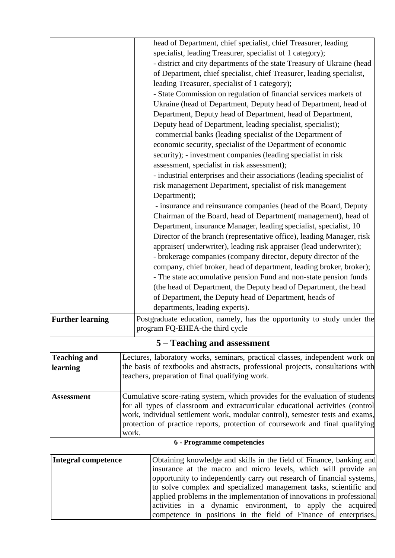|                            |       | head of Department, chief specialist, chief Treasurer, leading                                                                             |  |
|----------------------------|-------|--------------------------------------------------------------------------------------------------------------------------------------------|--|
|                            |       | specialist, leading Treasurer, specialist of 1 category);                                                                                  |  |
|                            |       | - district and city departments of the state Treasury of Ukraine (head                                                                     |  |
|                            |       | of Department, chief specialist, chief Treasurer, leading specialist,                                                                      |  |
|                            |       | leading Treasurer, specialist of 1 category);                                                                                              |  |
|                            |       | - State Commission on regulation of financial services markets of                                                                          |  |
|                            |       | Ukraine (head of Department, Deputy head of Department, head of                                                                            |  |
|                            |       | Department, Deputy head of Department, head of Department,                                                                                 |  |
|                            |       | Deputy head of Department, leading specialist, specialist);                                                                                |  |
|                            |       | commercial banks (leading specialist of the Department of                                                                                  |  |
|                            |       | economic security, specialist of the Department of economic                                                                                |  |
|                            |       | security); - investment companies (leading specialist in risk                                                                              |  |
|                            |       | assessment, specialist in risk assessment);                                                                                                |  |
|                            |       | - industrial enterprises and their associations (leading specialist of                                                                     |  |
|                            |       | risk management Department, specialist of risk management                                                                                  |  |
|                            |       | Department);                                                                                                                               |  |
|                            |       | - insurance and reinsurance companies (head of the Board, Deputy                                                                           |  |
|                            |       | Chairman of the Board, head of Department (management), head of                                                                            |  |
|                            |       | Department, insurance Manager, leading specialist, specialist, 10                                                                          |  |
|                            |       | Director of the branch (representative office), leading Manager, risk                                                                      |  |
|                            |       | appraiser( underwriter), leading risk appraiser (lead underwriter);                                                                        |  |
|                            |       | - brokerage companies (company director, deputy director of the                                                                            |  |
|                            |       | company, chief broker, head of department, leading broker, broker);                                                                        |  |
|                            |       | - The state accumulative pension Fund and non-state pension funds                                                                          |  |
|                            |       | (the head of Department, the Deputy head of Department, the head                                                                           |  |
|                            |       | of Department, the Deputy head of Department, heads of                                                                                     |  |
|                            |       | departments, leading experts).                                                                                                             |  |
| <b>Further learning</b>    |       | Postgraduate education, namely, has the opportunity to study under the                                                                     |  |
|                            |       | program FQ-EHEA-the third cycle                                                                                                            |  |
|                            |       | 5 – Teaching and assessment                                                                                                                |  |
| <b>Teaching and</b>        |       | Lectures, laboratory works, seminars, practical classes, independent work on                                                               |  |
| learning                   |       | the basis of textbooks and abstracts, professional projects, consultations with                                                            |  |
|                            |       | teachers, preparation of final qualifying work.                                                                                            |  |
|                            |       |                                                                                                                                            |  |
| <b>Assessment</b>          |       | Cumulative score-rating system, which provides for the evaluation of students                                                              |  |
|                            |       | for all types of classroom and extracurricular educational activities (control                                                             |  |
|                            |       | work, individual settlement work, modular control), semester tests and exams,                                                              |  |
|                            |       | protection of practice reports, protection of coursework and final qualifying                                                              |  |
|                            | work. |                                                                                                                                            |  |
|                            |       | 6 - Programme competencies                                                                                                                 |  |
| <b>Integral competence</b> |       | Obtaining knowledge and skills in the field of Finance, banking and                                                                        |  |
|                            |       | insurance at the macro and micro levels, which will provide an                                                                             |  |
|                            |       | opportunity to independently carry out research of financial systems,                                                                      |  |
|                            |       | to solve complex and specialized management tasks, scientific and<br>applied problems in the implementation of innovations in professional |  |
|                            |       | activities in a dynamic environment, to apply the acquired                                                                                 |  |
|                            |       | competence in positions in the field of Finance of enterprises,                                                                            |  |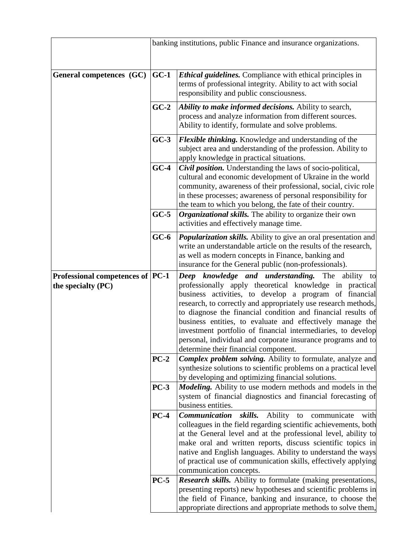|                                                         | banking institutions, public Finance and insurance organizations.                                                                                                                  |                                                                                                                                                                                                                                                                                                                                                                                                                                                                                                      |  |
|---------------------------------------------------------|------------------------------------------------------------------------------------------------------------------------------------------------------------------------------------|------------------------------------------------------------------------------------------------------------------------------------------------------------------------------------------------------------------------------------------------------------------------------------------------------------------------------------------------------------------------------------------------------------------------------------------------------------------------------------------------------|--|
| General competences (GC)                                | $GC-1$                                                                                                                                                                             | <b>Ethical guidelines.</b> Compliance with ethical principles in<br>terms of professional integrity. Ability to act with social<br>responsibility and public consciousness.                                                                                                                                                                                                                                                                                                                          |  |
|                                                         | $GC-2$                                                                                                                                                                             | Ability to make informed decisions. Ability to search,<br>process and analyze information from different sources.<br>Ability to identify, formulate and solve problems.                                                                                                                                                                                                                                                                                                                              |  |
|                                                         | $GC-3$<br><b>Flexible thinking.</b> Knowledge and understanding of the<br>subject area and understanding of the profession. Ability to<br>apply knowledge in practical situations. |                                                                                                                                                                                                                                                                                                                                                                                                                                                                                                      |  |
|                                                         | $GC-4$                                                                                                                                                                             | <b>Civil position.</b> Understanding the laws of socio-political,<br>cultural and economic development of Ukraine in the world<br>community, awareness of their professional, social, civic role<br>in these processes; awareness of personal responsibility for<br>the team to which you belong, the fate of their country.                                                                                                                                                                         |  |
|                                                         | $GC-5$                                                                                                                                                                             | <b>Organizational skills.</b> The ability to organize their own<br>activities and effectively manage time.                                                                                                                                                                                                                                                                                                                                                                                           |  |
|                                                         | $GC-6$                                                                                                                                                                             | <b>Popularization skills.</b> Ability to give an oral presentation and<br>write an understandable article on the results of the research,<br>as well as modern concepts in Finance, banking and<br>insurance for the General public (non-professionals).                                                                                                                                                                                                                                             |  |
| Professional competences of  PC-1<br>the specialty (PC) |                                                                                                                                                                                    | Deep knowledge and understanding. The ability to<br>professionally apply theoretical knowledge in practical<br>business activities, to develop a program of financial<br>research, to correctly and appropriately use research methods,<br>to diagnose the financial condition and financial results of<br>business entities, to evaluate and effectively manage the<br>investment portfolio of financial intermediaries, to develop<br>personal, individual and corporate insurance programs and to |  |
|                                                         | $PC-2$                                                                                                                                                                             | determine their financial component.<br>Complex problem solving. Ability to formulate, analyze and<br>synthesize solutions to scientific problems on a practical level<br>by developing and optimizing financial solutions.                                                                                                                                                                                                                                                                          |  |
|                                                         | $PC-3$                                                                                                                                                                             | <i>Modeling.</i> Ability to use modern methods and models in the<br>system of financial diagnostics and financial forecasting of<br>business entities.                                                                                                                                                                                                                                                                                                                                               |  |
|                                                         | $PC-4$                                                                                                                                                                             | Communication<br>skills.<br>Ability<br>communicate<br>to<br>with<br>colleagues in the field regarding scientific achievements, both<br>at the General level and at the professional level, ability to<br>make oral and written reports, discuss scientific topics in<br>native and English languages. Ability to understand the ways<br>of practical use of communication skills, effectively applying<br>communication concepts.                                                                    |  |
|                                                         | $PC-5$                                                                                                                                                                             | <b>Research skills.</b> Ability to formulate (making presentations,<br>presenting reports) new hypotheses and scientific problems in<br>the field of Finance, banking and insurance, to choose the<br>appropriate directions and appropriate methods to solve them,                                                                                                                                                                                                                                  |  |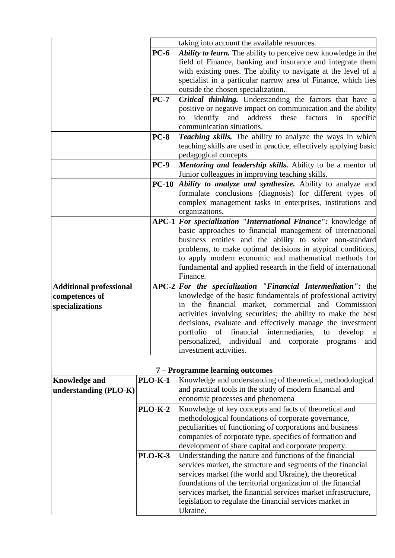|                                |                | taking into account the available resources.                                                                       |  |  |
|--------------------------------|----------------|--------------------------------------------------------------------------------------------------------------------|--|--|
| $PC-6$                         |                | Ability to learn. The ability to perceive new knowledge in the                                                     |  |  |
|                                |                | field of Finance, banking and insurance and integrate them                                                         |  |  |
|                                |                | with existing ones. The ability to navigate at the level of a                                                      |  |  |
|                                |                | specialist in a particular narrow area of Finance, which lies                                                      |  |  |
|                                |                | outside the chosen specialization.                                                                                 |  |  |
|                                | $PC-7$         | <b>Critical thinking.</b> Understanding the factors that have a                                                    |  |  |
|                                |                | positive or negative impact on communication and the ability                                                       |  |  |
|                                |                | identify<br>and address<br>these<br>factors<br>specific<br>in<br>to                                                |  |  |
|                                |                | communication situations.                                                                                          |  |  |
|                                | <b>PC-8</b>    | Teaching skills. The ability to analyze the ways in which                                                          |  |  |
|                                |                | teaching skills are used in practice, effectively applying basic                                                   |  |  |
|                                |                | pedagogical concepts.                                                                                              |  |  |
|                                | $PC-9$         | <b>Mentoring and leadership skills.</b> Ability to be a mentor of                                                  |  |  |
|                                |                | Junior colleagues in improving teaching skills.                                                                    |  |  |
|                                |                | <b>PC-10</b> <i>Ability to analyze and synthesize.</i> Ability to analyze and                                      |  |  |
|                                |                | formulate conclusions (diagnosis) for different types of                                                           |  |  |
|                                |                | complex management tasks in enterprises, institutions and                                                          |  |  |
|                                |                | organizations.                                                                                                     |  |  |
|                                |                | APC-1 For specialization "International Finance": knowledge of                                                     |  |  |
|                                |                | basic approaches to financial management of international                                                          |  |  |
|                                |                | business entities and the ability to solve non-standard                                                            |  |  |
|                                |                | problems, to make optimal decisions in atypical conditions,                                                        |  |  |
|                                |                | to apply modern economic and mathematical methods for                                                              |  |  |
|                                |                | fundamental and applied research in the field of international                                                     |  |  |
|                                |                | Finance.                                                                                                           |  |  |
| <b>Additional professional</b> |                | $APC-2$ For the specialization "Financial Intermediation": the                                                     |  |  |
| competences of                 |                | knowledge of the basic fundamentals of professional activity<br>in the financial market, commercial and Commission |  |  |
| specializations                |                | activities involving securities; the ability to make the best                                                      |  |  |
|                                |                | decisions, evaluate and effectively manage the investment                                                          |  |  |
|                                |                | portfolio of financial intermediaries, to develop a                                                                |  |  |
|                                |                | personalized,<br>individual<br>and<br>corporate programs<br>and                                                    |  |  |
|                                |                | investment activities.                                                                                             |  |  |
|                                |                |                                                                                                                    |  |  |
|                                |                | 7 – Programme learning outcomes                                                                                    |  |  |
| <b>Knowledge and</b>           | <b>PLO-K-1</b> | Knowledge and understanding of theoretical, methodological                                                         |  |  |
| understanding (PLO-K)          |                | and practical tools in the study of modern financial and                                                           |  |  |
|                                |                | economic processes and phenomena                                                                                   |  |  |
|                                | <b>PLO-K-2</b> | Knowledge of key concepts and facts of theoretical and                                                             |  |  |
|                                |                | methodological foundations of corporate governance,                                                                |  |  |
|                                |                | peculiarities of functioning of corporations and business                                                          |  |  |
|                                |                | companies of corporate type, specifics of formation and                                                            |  |  |
| <b>PLO-K-3</b>                 |                | development of share capital and corporate property.                                                               |  |  |
|                                |                | Understanding the nature and functions of the financial                                                            |  |  |
|                                |                | services market, the structure and segments of the financial                                                       |  |  |
|                                |                | services market (the world and Ukraine), the theoretical                                                           |  |  |
|                                |                | foundations of the territorial organization of the financial                                                       |  |  |
|                                |                | services market, the financial services market infrastructure,                                                     |  |  |
|                                |                | legislation to regulate the financial services market in                                                           |  |  |
|                                |                | Ukraine.                                                                                                           |  |  |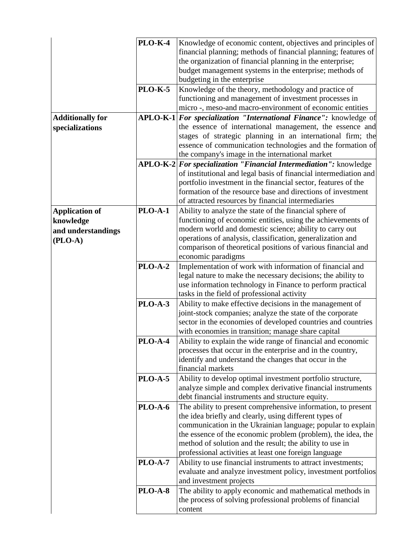| <b>PLO-K-4</b>                          | Knowledge of economic content, objectives and principles of                                                           |  |  |  |
|-----------------------------------------|-----------------------------------------------------------------------------------------------------------------------|--|--|--|
|                                         | financial planning; methods of financial planning; features of                                                        |  |  |  |
|                                         | the organization of financial planning in the enterprise;                                                             |  |  |  |
|                                         | budget management systems in the enterprise; methods of                                                               |  |  |  |
|                                         | budgeting in the enterprise                                                                                           |  |  |  |
| <b>PLO-K-5</b>                          | Knowledge of the theory, methodology and practice of                                                                  |  |  |  |
|                                         | functioning and management of investment processes in                                                                 |  |  |  |
|                                         | micro-, meso-and macro-environment of economic entities                                                               |  |  |  |
| <b>Additionally for</b>                 | APLO-K-1 For specialization "International Finance": knowledge of                                                     |  |  |  |
| specializations                         | the essence of international management, the essence and                                                              |  |  |  |
|                                         | stages of strategic planning in an international firm; the                                                            |  |  |  |
|                                         | essence of communication technologies and the formation of                                                            |  |  |  |
|                                         | the company's image in the international market                                                                       |  |  |  |
|                                         | APLO-K-2 For specialization "Financial Intermediation": knowledge                                                     |  |  |  |
|                                         | of institutional and legal basis of financial intermediation and                                                      |  |  |  |
|                                         | portfolio investment in the financial sector, features of the                                                         |  |  |  |
|                                         | formation of the resource base and directions of investment                                                           |  |  |  |
|                                         | of attracted resources by financial intermediaries                                                                    |  |  |  |
| <b>PLO-A-1</b><br><b>Application of</b> | Ability to analyze the state of the financial sphere of                                                               |  |  |  |
| knowledge                               | functioning of economic entities, using the achievements of                                                           |  |  |  |
| and understandings                      | modern world and domestic science; ability to carry out                                                               |  |  |  |
| $(PLO-A)$                               | operations of analysis, classification, generalization and                                                            |  |  |  |
|                                         | comparison of theoretical positions of various financial and                                                          |  |  |  |
|                                         | economic paradigms                                                                                                    |  |  |  |
| <b>PLO-A-2</b>                          | Implementation of work with information of financial and                                                              |  |  |  |
|                                         | legal nature to make the necessary decisions; the ability to                                                          |  |  |  |
|                                         | use information technology in Finance to perform practical                                                            |  |  |  |
|                                         | tasks in the field of professional activity                                                                           |  |  |  |
| <b>PLO-A-3</b>                          | Ability to make effective decisions in the management of<br>joint-stock companies; analyze the state of the corporate |  |  |  |
|                                         | sector in the economies of developed countries and countries                                                          |  |  |  |
|                                         | with economies in transition; manage share capital                                                                    |  |  |  |
| PLO-A-4                                 | Ability to explain the wide range of financial and economic                                                           |  |  |  |
|                                         | processes that occur in the enterprise and in the country,                                                            |  |  |  |
|                                         | identify and understand the changes that occur in the                                                                 |  |  |  |
|                                         | financial markets                                                                                                     |  |  |  |
| <b>PLO-A-5</b>                          | Ability to develop optimal investment portfolio structure,                                                            |  |  |  |
|                                         | analyze simple and complex derivative financial instruments                                                           |  |  |  |
|                                         | debt financial instruments and structure equity.                                                                      |  |  |  |
| <b>PLO-A-6</b>                          | The ability to present comprehensive information, to present                                                          |  |  |  |
|                                         | the idea briefly and clearly, using different types of                                                                |  |  |  |
|                                         | communication in the Ukrainian language; popular to explain                                                           |  |  |  |
|                                         | the essence of the economic problem (problem), the idea, the                                                          |  |  |  |
|                                         | method of solution and the result; the ability to use in                                                              |  |  |  |
|                                         | professional activities at least one foreign language                                                                 |  |  |  |
| <b>PLO-A-7</b>                          | Ability to use financial instruments to attract investments;                                                          |  |  |  |
|                                         | evaluate and analyze investment policy, investment portfolios                                                         |  |  |  |
|                                         | and investment projects                                                                                               |  |  |  |
| <b>PLO-A-8</b>                          | The ability to apply economic and mathematical methods in                                                             |  |  |  |
|                                         | the process of solving professional problems of financial                                                             |  |  |  |
|                                         | content                                                                                                               |  |  |  |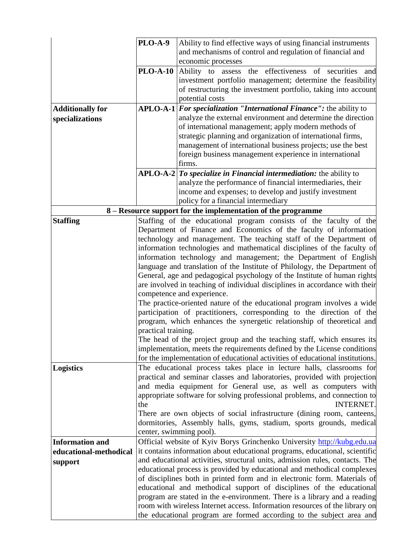|                         | PLO-A-9<br>Ability to find effective ways of using financial instruments                           |                                                                                                 |  |  |  |
|-------------------------|----------------------------------------------------------------------------------------------------|-------------------------------------------------------------------------------------------------|--|--|--|
|                         | and mechanisms of control and regulation of financial and                                          |                                                                                                 |  |  |  |
|                         |                                                                                                    | economic processes                                                                              |  |  |  |
|                         |                                                                                                    | <b>PLO-A-10</b> Ability to assess the effectiveness of securities<br>and                        |  |  |  |
|                         |                                                                                                    | investment portfolio management; determine the feasibility                                      |  |  |  |
|                         |                                                                                                    | of restructuring the investment portfolio, taking into account                                  |  |  |  |
|                         |                                                                                                    | potential costs                                                                                 |  |  |  |
| <b>Additionally for</b> |                                                                                                    | $APLO-A-1$ <i>For specialization "International Finance"</i> : the ability to                   |  |  |  |
| specializations         |                                                                                                    | analyze the external environment and determine the direction                                    |  |  |  |
|                         |                                                                                                    | of international management; apply modern methods of                                            |  |  |  |
|                         |                                                                                                    | strategic planning and organization of international firms,                                     |  |  |  |
|                         |                                                                                                    | management of international business projects; use the best                                     |  |  |  |
|                         |                                                                                                    | foreign business management experience in international                                         |  |  |  |
|                         |                                                                                                    | firms.                                                                                          |  |  |  |
|                         |                                                                                                    | $APLO-A-2 To specialize in Financial international$ in Financial intermediation: the ability to |  |  |  |
|                         |                                                                                                    | analyze the performance of financial intermediaries, their                                      |  |  |  |
|                         |                                                                                                    | income and expenses; to develop and justify investment                                          |  |  |  |
|                         |                                                                                                    | policy for a financial intermediary                                                             |  |  |  |
|                         |                                                                                                    | 8 – Resource support for the implementation of the programme                                    |  |  |  |
| <b>Staffing</b>         |                                                                                                    | Staffing of the educational program consists of the faculty of the                              |  |  |  |
|                         |                                                                                                    | Department of Finance and Economics of the faculty of information                               |  |  |  |
|                         | technology and management. The teaching staff of the Department of                                 |                                                                                                 |  |  |  |
|                         | information technologies and mathematical disciplines of the faculty of                            |                                                                                                 |  |  |  |
|                         |                                                                                                    | information technology and management; the Department of English                                |  |  |  |
|                         |                                                                                                    | language and translation of the Institute of Philology, the Department of                       |  |  |  |
|                         | General, age and pedagogical psychology of the Institute of human rights                           |                                                                                                 |  |  |  |
|                         | are involved in teaching of individual disciplines in accordance with their                        |                                                                                                 |  |  |  |
|                         | competence and experience.                                                                         |                                                                                                 |  |  |  |
|                         | The practice-oriented nature of the educational program involves a wide                            |                                                                                                 |  |  |  |
|                         | participation of practitioners, corresponding to the direction of the                              |                                                                                                 |  |  |  |
|                         | program, which enhances the synergetic relationship of theoretical and                             |                                                                                                 |  |  |  |
|                         | practical training.                                                                                |                                                                                                 |  |  |  |
|                         |                                                                                                    | The head of the project group and the teaching staff, which ensures its                         |  |  |  |
|                         | implementation, meets the requirements defined by the License conditions                           |                                                                                                 |  |  |  |
|                         |                                                                                                    | for the implementation of educational activities of educational institutions.                   |  |  |  |
| <b>Logistics</b>        |                                                                                                    | The educational process takes place in lecture halls, classrooms for                            |  |  |  |
|                         |                                                                                                    | practical and seminar classes and laboratories, provided with projection                        |  |  |  |
|                         |                                                                                                    | and media equipment for General use, as well as computers with                                  |  |  |  |
|                         | appropriate software for solving professional problems, and connection to<br>the                   |                                                                                                 |  |  |  |
|                         |                                                                                                    | <b>INTERNET.</b>                                                                                |  |  |  |
|                         | There are own objects of social infrastructure (dining room, canteens,                             |                                                                                                 |  |  |  |
|                         | dormitories, Assembly halls, gyms, stadium, sports grounds, medical                                |                                                                                                 |  |  |  |
| <b>Information and</b>  | center, swimming pool).<br>Official website of Kyiv Borys Grinchenko University http://kubg.edu.ua |                                                                                                 |  |  |  |
| educational-methodical  | it contains information about educational programs, educational, scientific                        |                                                                                                 |  |  |  |
|                         | and educational activities, structural units, admission rules, contacts. The                       |                                                                                                 |  |  |  |
| support                 | educational process is provided by educational and methodical complexes                            |                                                                                                 |  |  |  |
|                         | of disciplines both in printed form and in electronic form. Materials of                           |                                                                                                 |  |  |  |
|                         | educational and methodical support of disciplines of the educational                               |                                                                                                 |  |  |  |
|                         | program are stated in the e-environment. There is a library and a reading                          |                                                                                                 |  |  |  |
|                         | room with wireless Internet access. Information resources of the library on                        |                                                                                                 |  |  |  |
|                         |                                                                                                    | the educational program are formed according to the subject area and                            |  |  |  |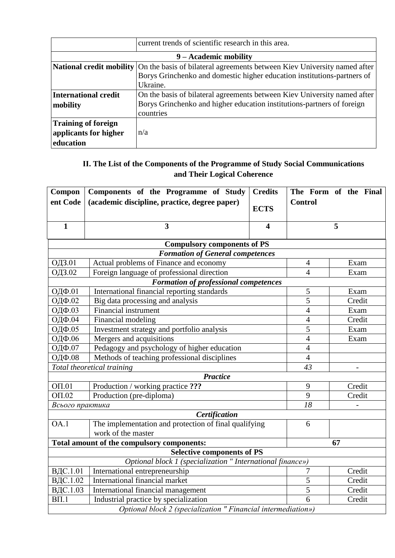| current trends of scientific research in this area.              |                                                                                                                                                                 |  |
|------------------------------------------------------------------|-----------------------------------------------------------------------------------------------------------------------------------------------------------------|--|
|                                                                  | 9 – Academic mobility                                                                                                                                           |  |
| <b>National credit mobility</b>                                  | On the basis of bilateral agreements between Kiev University named after<br>Borys Grinchenko and domestic higher education institutions-partners of<br>Ukraine. |  |
| <b>International credit</b><br>mobility                          | On the basis of bilateral agreements between Kiev University named after<br>Borys Grinchenko and higher education institutions-partners of foreign<br>countries |  |
| <b>Training of foreign</b><br>applicants for higher<br>education | n/a                                                                                                                                                             |  |

#### **ІІ. The List of the Components of the Programme of Study Social Communications and Their Logical Coherence**

| Compon<br>ent Code                                            | Components of the Programme of Study<br>(academic discipline, practice, degree paper) | <b>Credits</b><br><b>ECTS</b> | <b>Control</b> | The Form of the Final |
|---------------------------------------------------------------|---------------------------------------------------------------------------------------|-------------------------------|----------------|-----------------------|
| $\mathbf{1}$                                                  | 3                                                                                     | $\overline{\mathbf{4}}$       |                | 5                     |
|                                                               | <b>Compulsory components of PS</b>                                                    |                               |                |                       |
|                                                               | <b>Formation of General competences</b>                                               |                               |                |                       |
| ОДЗ.01                                                        | Actual problems of Finance and economy                                                |                               | $\overline{4}$ | Exam                  |
| ОДЗ.02                                                        | Foreign language of professional direction                                            |                               | $\overline{4}$ | Exam                  |
|                                                               | <b>Formation of professional competences</b>                                          |                               |                |                       |
| ОДФ.01                                                        | International financial reporting standards                                           |                               | $\mathfrak{S}$ | Exam                  |
| ОДФ.02                                                        | Big data processing and analysis                                                      |                               | 5              | Credit                |
| ОДФ.03                                                        | <b>Financial instrument</b>                                                           |                               | $\overline{4}$ | Exam                  |
| ОДФ.04                                                        | Financial modeling                                                                    |                               | $\overline{4}$ | Credit                |
| ОДФ.05                                                        | Investment strategy and portfolio analysis                                            |                               | 5              | Exam                  |
| ОДФ.06                                                        | Mergers and acquisitions                                                              |                               | $\overline{4}$ | Exam                  |
| Pedagogy and psychology of higher education<br>ОДФ.07         |                                                                                       | $\overline{4}$                |                |                       |
| ОДФ.08                                                        | Methods of teaching professional disciplines                                          |                               | $\overline{4}$ |                       |
| Total theoretical training                                    |                                                                                       |                               | 43             |                       |
|                                                               | <b>Practice</b>                                                                       |                               |                |                       |
| OT.01                                                         | Production / working practice ???                                                     |                               | 9              | Credit                |
| OTI.02<br>Production (pre-diploma)                            |                                                                                       | 9                             | Credit         |                       |
| Всього практика                                               |                                                                                       | $\overline{18}$               |                |                       |
| Certification                                                 |                                                                                       |                               |                |                       |
| OA.1                                                          | The implementation and protection of final qualifying                                 |                               | 6              |                       |
|                                                               | work of the master                                                                    |                               |                |                       |
| Total amount of the compulsory components:                    |                                                                                       |                               |                | 67                    |
| <b>Selective components of PS</b>                             |                                                                                       |                               |                |                       |
| Optional block 1 (specialization " International finance»)    |                                                                                       |                               |                |                       |
| ВДС.1.01                                                      | International entrepreneurship                                                        |                               | 7              | Credit                |
| ВДС.1.02                                                      | International financial market                                                        |                               | $\overline{5}$ | Credit                |
|                                                               | ВДС.1.03<br>International financial management                                        |                               | 5              | Credit                |
| $B\Pi.1$<br>Industrial practice by specialization             |                                                                                       | 6                             | Credit         |                       |
| Optional block 2 (specialization " Financial intermediation») |                                                                                       |                               |                |                       |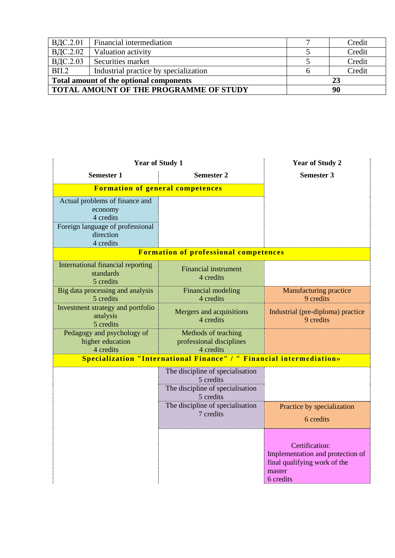| ВДС.2.01 | Financial intermediation                      | Credit |
|----------|-----------------------------------------------|--------|
| ВДС.2.02 | Valuation activity                            | Credit |
| ВДС.2.03 | Securities market                             | Credit |
| $B\Pi.2$ | Industrial practice by specialization         | Credit |
|          | Total amount of the optional components       | 23     |
|          | <b>TOTAL AMOUNT OF THE PROGRAMME OF STUDY</b> | 90     |

| <b>Year of Study 1</b>                                      |                                                                                                | <b>Year of Study 2</b>                                                                                    |
|-------------------------------------------------------------|------------------------------------------------------------------------------------------------|-----------------------------------------------------------------------------------------------------------|
| <b>Semester 1</b><br><b>Semester 2</b>                      |                                                                                                | <b>Semester 3</b>                                                                                         |
| <b>Formation of general competences</b>                     |                                                                                                |                                                                                                           |
| Actual problems of finance and<br>economy<br>4 credits      |                                                                                                |                                                                                                           |
| Foreign language of professional<br>direction<br>4 credits  |                                                                                                |                                                                                                           |
|                                                             | <b>Formation of professional competences</b>                                                   |                                                                                                           |
| International financial reporting<br>standards<br>5 credits | <b>Financial instrument</b><br>4 credits                                                       |                                                                                                           |
| Big data processing and analysis<br>5 credits               | Financial modeling<br>4 credits                                                                | <b>Manufacturing practice</b><br>9 credits                                                                |
| Investment strategy and portfolio<br>analysis<br>5 credits  | Mergers and acquisitions<br>4 credits                                                          | Industrial (pre-diploma) practice<br>9 credits                                                            |
| Pedagogy and psychology of<br>higher education<br>4 credits | Methods of teaching<br>professional disciplines<br>4 credits                                   |                                                                                                           |
|                                                             | Specialization "International Finance" / " Financial intermediation»                           |                                                                                                           |
|                                                             | The discipline of specialisation<br>5 credits<br>The discipline of specialisation<br>5 credits |                                                                                                           |
|                                                             | The discipline of specialisation<br>7 credits                                                  | Practice by specialization<br>6 credits                                                                   |
|                                                             |                                                                                                | Certification:<br>Implementation and protection of<br>final qualifying work of the<br>master<br>6 credits |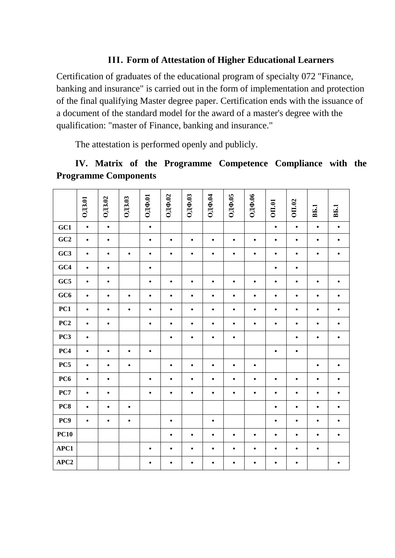#### **ІІІ. Form of Attestation of Higher Educational Learners**

Certification of graduates of the educational program of specialty 072 "Finance, banking and insurance" is carried out in the form of implementation and protection of the final qualifying Master degree paper. Certification ends with the issuance of a document of the standard model for the award of a master's degree with the qualification: "master of Finance, banking and insurance."

The attestation is performed openly and publicly.

# **ІV. Matrix of the Programme Competence Compliance with the Programme Components**

|                 | <b>ОДЗ.01</b> | ОДЗ.02    | <b>ОДЗ.03</b> | ОДФ.01    | ОДФ.02    | ОДФ.03    | ОДФ.04    | OДФ.05    | ОДФ.06    | <b>OII.01</b> | OII.02    | <b>BL1</b> | <b>B</b> .1 |
|-----------------|---------------|-----------|---------------|-----------|-----------|-----------|-----------|-----------|-----------|---------------|-----------|------------|-------------|
| GC1             | $\bullet$     | $\bullet$ |               | $\bullet$ |           |           |           |           |           | $\bullet$     | $\bullet$ | $\bullet$  | $\bullet$   |
| GC2             | $\bullet$     | $\bullet$ |               | $\bullet$ | $\bullet$ | $\bullet$ | $\bullet$ | $\bullet$ | $\bullet$ | $\bullet$     | $\bullet$ | $\bullet$  | $\bullet$   |
| GC3             | $\bullet$     | $\bullet$ | $\bullet$     | $\bullet$ | $\bullet$ | $\bullet$ | $\bullet$ | $\bullet$ | $\bullet$ | $\bullet$     | $\bullet$ | $\bullet$  | $\bullet$   |
| GC4             | $\bullet$     | $\bullet$ |               | $\bullet$ |           |           |           |           |           | $\bullet$     | $\bullet$ |            |             |
| GC5             | $\bullet$     | $\bullet$ |               | $\bullet$ | $\bullet$ | $\bullet$ | $\bullet$ | $\bullet$ | $\bullet$ | $\bullet$     | $\bullet$ | $\bullet$  | $\bullet$   |
| GC6             | $\bullet$     | $\bullet$ | $\bullet$     | $\bullet$ | $\bullet$ | $\bullet$ | $\bullet$ | $\bullet$ | $\bullet$ | $\bullet$     | $\bullet$ | $\bullet$  | $\bullet$   |
| PC1             | $\bullet$     | $\bullet$ | $\bullet$     | $\bullet$ | $\bullet$ | $\bullet$ | $\bullet$ | $\bullet$ | $\bullet$ | ٠             | $\bullet$ | $\bullet$  | ٠           |
| PC2             | $\bullet$     | $\bullet$ |               | $\bullet$ | $\bullet$ | $\bullet$ | $\bullet$ | $\bullet$ | $\bullet$ | $\bullet$     | $\bullet$ | $\bullet$  | $\bullet$   |
| PC <sub>3</sub> | $\bullet$     |           |               |           | $\bullet$ | $\bullet$ | $\bullet$ | $\bullet$ |           |               | $\bullet$ | $\bullet$  | $\bullet$   |
| PC4             | $\bullet$     | $\bullet$ | $\bullet$     | $\bullet$ |           |           |           |           |           | $\bullet$     | $\bullet$ |            |             |
| PC5             | $\bullet$     | $\bullet$ | $\bullet$     |           | $\bullet$ | $\bullet$ | $\bullet$ | $\bullet$ | $\bullet$ |               |           | $\bullet$  | ٠           |
| PC <sub>6</sub> | $\bullet$     | $\bullet$ |               | $\bullet$ | $\bullet$ | $\bullet$ | $\bullet$ | $\bullet$ | $\bullet$ | $\bullet$     | $\bullet$ | $\bullet$  | $\bullet$   |
| PC7             | $\bullet$     | $\bullet$ |               | $\bullet$ | $\bullet$ | $\bullet$ | $\bullet$ | $\bullet$ | $\bullet$ | $\bullet$     | $\bullet$ | $\bullet$  | $\bullet$   |
| PC8             | $\bullet$     | $\bullet$ | $\bullet$     |           |           |           |           |           |           | $\bullet$     | $\bullet$ | $\bullet$  |             |
| PC9             | $\bullet$     | $\bullet$ | $\bullet$     |           | $\bullet$ |           | $\bullet$ |           |           | $\bullet$     | $\bullet$ | $\bullet$  | ٠           |
| <b>PC10</b>     |               |           |               |           | $\bullet$ | $\bullet$ | $\bullet$ | $\bullet$ | $\bullet$ | $\bullet$     | $\bullet$ | $\bullet$  | $\bullet$   |
| APC1            |               |           |               | $\bullet$ | $\bullet$ | $\bullet$ | $\bullet$ | $\bullet$ | $\bullet$ | ٠             | $\bullet$ | $\bullet$  |             |
| APC2            |               |           |               | $\bullet$ | $\bullet$ | $\bullet$ | $\bullet$ | $\bullet$ | $\bullet$ | $\bullet$     | $\bullet$ |            | $\bullet$   |